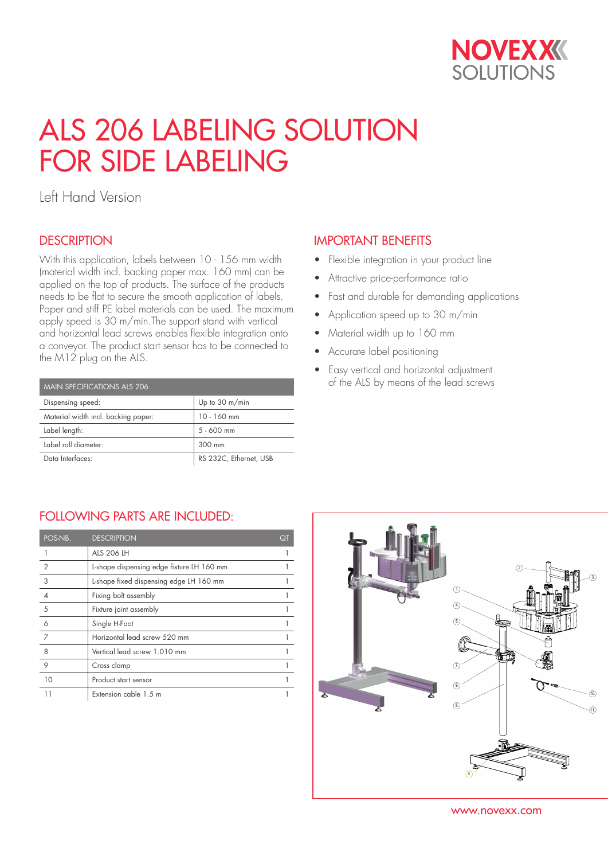

# ALS 206 LABELING SOLUTION FOR SIDE LABELING

Left Hand Version

### **DESCRIPTION**

With this application, labels between 10 - 156 mm width (material width incl. backing paper max. 160 mm) can be applied on the top of products. The surface of the products needs to be flat to secure the smooth application of labels. Paper and stiff PE label materials can be used. The maximum apply speed is 30 m/min.The support stand with vertical and horizontal lead screws enables flexible integration onto a conveyor. The product start sensor has to be connected to the M12 plug on the ALS.

| MAIN SPECIFICATIONS ALS 206         |                        |  |  |  |  |
|-------------------------------------|------------------------|--|--|--|--|
| Dispensing speed:                   | Up to 30 m/min         |  |  |  |  |
| Material width incl. backing paper: | $10 - 160$ mm          |  |  |  |  |
| Label length:                       | $5 - 600$ mm           |  |  |  |  |
| Label roll diameter:                | 300 mm                 |  |  |  |  |
| Data Interfaces:                    | RS 232C, Ethernet, USB |  |  |  |  |

## IMPORTANT BENEFITS

- Flexible integration in your product line
- Attractive price-performance ratio
- Fast and durable for demanding applications
- Application speed up to 30 m/min
- Material width up to 160 mm
- Accurate label positioning
- Easy vertical and horizontal adjustment of the ALS by means of the lead screws

#### FOLLOWING PARTS ARE INCLUDED:

| POS-NB.        | <b>DESCRIPTION</b>                        | Qī |
|----------------|-------------------------------------------|----|
|                | <b>ALS 206 LH</b>                         |    |
| $\overline{2}$ | L-shape dispensing edge fixture LH 160 mm |    |
| 3              | L-shape fixed dispensing edge LH 160 mm   |    |
|                | Fixing bolt assembly                      |    |
| 5              | Fixture joint assembly                    |    |
| 6              | Single H-Foot                             |    |
| 7              | Horizontal lead screw 520 mm              |    |
| 8              | Vertical lead screw 1.010 mm              |    |
| 9              | Cross clamp                               |    |
| 10             | Product start sensor                      |    |
| 11             | Extension cable 1.5 m                     |    |



www.novexx.com